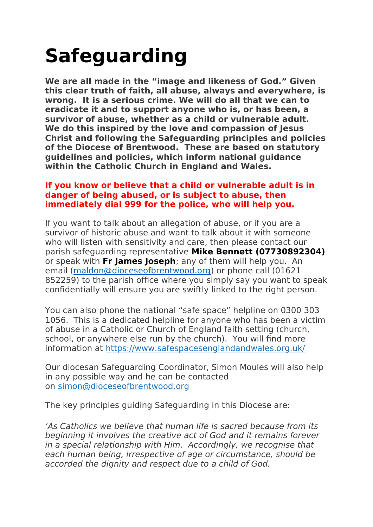## **Safeguarding**

**We are all made in the "image and likeness of God." Given this clear truth of faith, all abuse, always and everywhere, is wrong. It is a serious crime. We will do all that we can to eradicate it and to support anyone who is, or has been, a survivor of abuse, whether as a child or vulnerable adult. We do this inspired by the love and compassion of Jesus Christ and following the Safeguarding principles and policies of the Diocese of Brentwood. These are based on statutory guidelines and policies, which inform national guidance within the Catholic Church in England and Wales.**

## **If you know or believe that a child or vulnerable adult is in danger of being abused, or is subject to abuse, then immediately dial 999 for the police, who will help you.**

If you want to talk about an allegation of abuse, or if you are a survivor of historic abuse and want to talk about it with someone who will listen with sensitivity and care, then please contact our parish safeguarding representative **Mike Bennett (07730892304)** or speak with **Fr James Joseph**; any of them will help you. An email [\(maldon@dioceseofbrentwood.org](mailto:maldon@dioceseofbrentwood.org)) or phone call (01621 852259) to the parish office where you simply say you want to speak confidentially will ensure you are swiftly linked to the right person.

You can also phone the national "safe space" helpline on 0300 303 1056. This is a dedicated helpline for anyone who has been a victim of abuse in a Catholic or Church of England faith setting (church, school, or anywhere else run by the church). You will find more information at https://www.safespacesenglandandwales.org.uk/

Our diocesan Safeguarding Coordinator, Simon Moules will also help in any possible way and he can be contacted on simon@dioceseofbrentwood.org

The key principles guiding Safeguarding in this Diocese are:

'As Catholics we believe that human life is sacred because from its beginning it involves the creative act of God and it remains forever in a special relationship with Him. Accordingly, we recognise that each human being, irrespective of age or circumstance, should be accorded the dignity and respect due to a child of God.